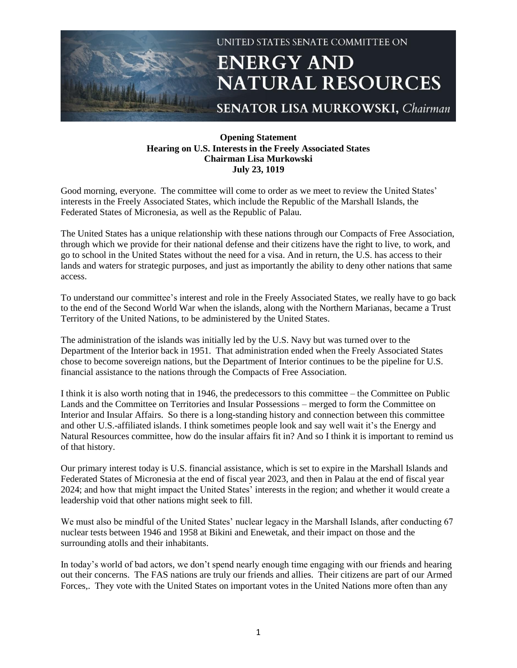

## **Opening Statement Hearing on U.S. Interests in the Freely Associated States Chairman Lisa Murkowski July 23, 1019**

Good morning, everyone. The committee will come to order as we meet to review the United States' interests in the Freely Associated States, which include the Republic of the Marshall Islands, the Federated States of Micronesia, as well as the Republic of Palau.

The United States has a unique relationship with these nations through our Compacts of Free Association, through which we provide for their national defense and their citizens have the right to live, to work, and go to school in the United States without the need for a visa. And in return, the U.S. has access to their lands and waters for strategic purposes, and just as importantly the ability to deny other nations that same access.

To understand our committee's interest and role in the Freely Associated States, we really have to go back to the end of the Second World War when the islands, along with the Northern Marianas, became a Trust Territory of the United Nations, to be administered by the United States.

The administration of the islands was initially led by the U.S. Navy but was turned over to the Department of the Interior back in 1951. That administration ended when the Freely Associated States chose to become sovereign nations, but the Department of Interior continues to be the pipeline for U.S. financial assistance to the nations through the Compacts of Free Association.

I think it is also worth noting that in 1946, the predecessors to this committee – the Committee on Public Lands and the Committee on Territories and Insular Possessions – merged to form the Committee on Interior and Insular Affairs. So there is a long-standing history and connection between this committee and other U.S.-affiliated islands. I think sometimes people look and say well wait it's the Energy and Natural Resources committee, how do the insular affairs fit in? And so I think it is important to remind us of that history.

Our primary interest today is U.S. financial assistance, which is set to expire in the Marshall Islands and Federated States of Micronesia at the end of fiscal year 2023, and then in Palau at the end of fiscal year 2024; and how that might impact the United States' interests in the region; and whether it would create a leadership void that other nations might seek to fill.

We must also be mindful of the United States' nuclear legacy in the Marshall Islands, after conducting 67 nuclear tests between 1946 and 1958 at Bikini and Enewetak, and their impact on those and the surrounding atolls and their inhabitants.

In today's world of bad actors, we don't spend nearly enough time engaging with our friends and hearing out their concerns. The FAS nations are truly our friends and allies. Their citizens are part of our Armed Forces,. They vote with the United States on important votes in the United Nations more often than any